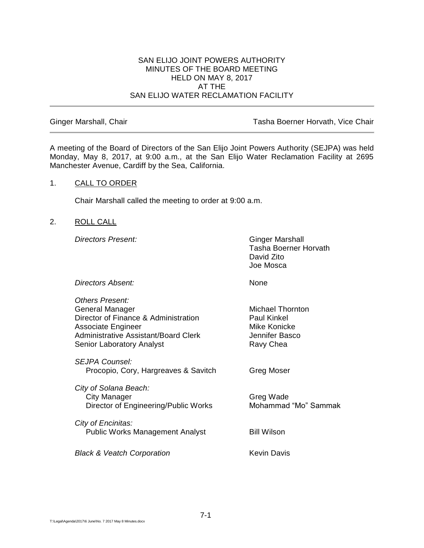#### SAN ELIJO JOINT POWERS AUTHORITY MINUTES OF THE BOARD MEETING HELD ON MAY 8, 2017 AT THE SAN ELIJO WATER RECLAMATION FACILITY

Ginger Marshall, Chair **Tasha Boerner Horvath, Vice Chair** Tasha Boerner Horvath, Vice Chair

A meeting of the Board of Directors of the San Elijo Joint Powers Authority (SEJPA) was held Monday, May 8, 2017, at 9:00 a.m., at the San Elijo Water Reclamation Facility at 2695 Manchester Avenue, Cardiff by the Sea, California.

## 1. CALL TO ORDER

Chair Marshall called the meeting to order at 9:00 a.m.

#### 2. ROLL CALL

**Directors Present:** Ginger Marshall

Tasha Boerner Horvath David Zito Joe Mosca

**Directors Absent:** None

| <b>Others Present:</b>                      |                         |
|---------------------------------------------|-------------------------|
| General Manager                             | <b>Michael Thornton</b> |
| Director of Finance & Administration        | Paul Kinkel             |
| <b>Associate Engineer</b>                   | Mike Konicke            |
| <b>Administrative Assistant/Board Clerk</b> | Jennifer Basco          |
| <b>Senior Laboratory Analyst</b>            | Ravy Chea               |
| <b>SEJPA Counsel:</b>                       |                         |
| Procopio, Cory, Hargreaves & Savitch        | Greg Moser              |
| City of Solana Beach:                       |                         |
| <b>City Manager</b>                         | Greg Wade               |
| Director of Engineering/Public Works        | Mohammad "Mo" Sammak    |
| City of Encinitas:                          |                         |
| <b>Public Works Management Analyst</b>      | <b>Bill Wilson</b>      |
| <b>Black &amp; Veatch Corporation</b>       | Kevin Davis             |
|                                             |                         |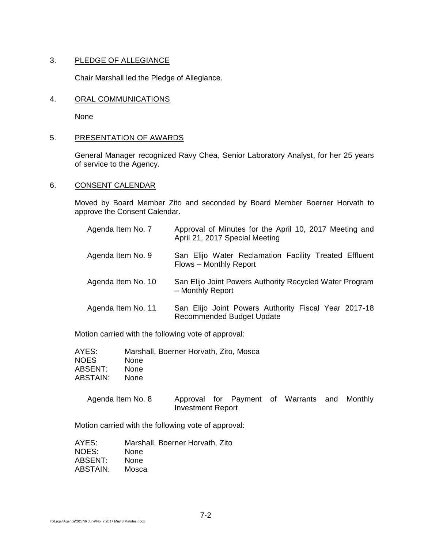## 3. PLEDGE OF ALLEGIANCE

Chair Marshall led the Pledge of Allegiance.

#### 4. ORAL COMMUNICATIONS

None

#### 5. PRESENTATION OF AWARDS

General Manager recognized Ravy Chea, Senior Laboratory Analyst, for her 25 years of service to the Agency.

## 6. CONSENT CALENDAR

Moved by Board Member Zito and seconded by Board Member Boerner Horvath to approve the Consent Calendar.

| Agenda Item No. 7  | Approval of Minutes for the April 10, 2017 Meeting and<br>April 21, 2017 Special Meeting |
|--------------------|------------------------------------------------------------------------------------------|
| Agenda Item No. 9  | San Elijo Water Reclamation Facility Treated Effluent<br>Flows - Monthly Report          |
| Agenda Item No. 10 | San Elijo Joint Powers Authority Recycled Water Program<br>- Monthly Report              |
| Agenda Item No. 11 | San Elijo Joint Powers Authority Fiscal Year 2017-18<br><b>Recommended Budget Update</b> |

Motion carried with the following vote of approval:

| AYES:       | Marshall, Boerner Horvath, Zito, Mosca |
|-------------|----------------------------------------|
| <b>NOES</b> | <b>None</b>                            |
| ABSENT:     | <b>None</b>                            |
| ABSTAIN:    | <b>None</b>                            |

| Agenda Item No. 8 |                   |  | Approval for Payment of Warrants and Monthly |  |
|-------------------|-------------------|--|----------------------------------------------|--|
|                   | Investment Report |  |                                              |  |

Motion carried with the following vote of approval:

| AYES:    | Marshall, Boerner Horvath, Zito |
|----------|---------------------------------|
| NOES:    | <b>None</b>                     |
| ABSENT:  | <b>None</b>                     |
| ABSTAIN: | Mosca                           |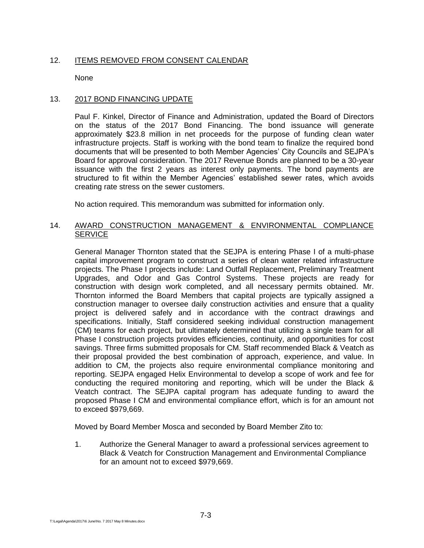# 12. ITEMS REMOVED FROM CONSENT CALENDAR

None

## 13. 2017 BOND FINANCING UPDATE

Paul F. Kinkel, Director of Finance and Administration, updated the Board of Directors on the status of the 2017 Bond Financing. The bond issuance will generate approximately \$23.8 million in net proceeds for the purpose of funding clean water infrastructure projects. Staff is working with the bond team to finalize the required bond documents that will be presented to both Member Agencies' City Councils and SEJPA's Board for approval consideration. The 2017 Revenue Bonds are planned to be a 30-year issuance with the first 2 years as interest only payments. The bond payments are structured to fit within the Member Agencies' established sewer rates, which avoids creating rate stress on the sewer customers.

No action required. This memorandum was submitted for information only.

## 14. AWARD CONSTRUCTION MANAGEMENT & ENVIRONMENTAL COMPLIANCE **SERVICE**

General Manager Thornton stated that the SEJPA is entering Phase I of a multi-phase capital improvement program to construct a series of clean water related infrastructure projects. The Phase I projects include: Land Outfall Replacement, Preliminary Treatment Upgrades, and Odor and Gas Control Systems. These projects are ready for construction with design work completed, and all necessary permits obtained. Mr. Thornton informed the Board Members that capital projects are typically assigned a construction manager to oversee daily construction activities and ensure that a quality project is delivered safely and in accordance with the contract drawings and specifications. Initially, Staff considered seeking individual construction management (CM) teams for each project, but ultimately determined that utilizing a single team for all Phase I construction projects provides efficiencies, continuity, and opportunities for cost savings. Three firms submitted proposals for CM. Staff recommended Black & Veatch as their proposal provided the best combination of approach, experience, and value. In addition to CM, the projects also require environmental compliance monitoring and reporting. SEJPA engaged Helix Environmental to develop a scope of work and fee for conducting the required monitoring and reporting, which will be under the Black & Veatch contract. The SEJPA capital program has adequate funding to award the proposed Phase I CM and environmental compliance effort, which is for an amount not to exceed \$979,669.

Moved by Board Member Mosca and seconded by Board Member Zito to:

1. Authorize the General Manager to award a professional services agreement to Black & Veatch for Construction Management and Environmental Compliance for an amount not to exceed \$979,669.